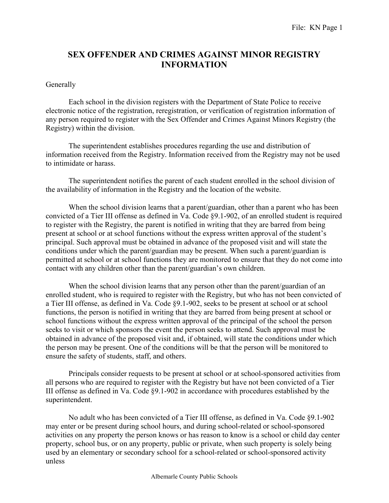## SEX OFFENDER AND CRIMES AGAINST MINOR REGISTRY INFORMATION

## **Generally**

Each school in the division registers with the Department of State Police to receive electronic notice of the registration, reregistration, or verification of registration information of any person required to register with the Sex Offender and Crimes Against Minors Registry (the Registry) within the division.

The superintendent establishes procedures regarding the use and distribution of information received from the Registry. Information received from the Registry may not be used to intimidate or harass.

The superintendent notifies the parent of each student enrolled in the school division of the availability of information in the Registry and the location of the website.

When the school division learns that a parent/guardian, other than a parent who has been convicted of a Tier III offense as defined in Va. Code §9.1-902, of an enrolled student is required to register with the Registry, the parent is notified in writing that they are barred from being present at school or at school functions without the express written approval of the student's principal. Such approval must be obtained in advance of the proposed visit and will state the conditions under which the parent/guardian may be present. When such a parent/guardian is permitted at school or at school functions they are monitored to ensure that they do not come into contact with any children other than the parent/guardian's own children.

When the school division learns that any person other than the parent/guardian of an enrolled student, who is required to register with the Registry, but who has not been convicted of a Tier III offense, as defined in Va. Code §9.1-902, seeks to be present at school or at school functions, the person is notified in writing that they are barred from being present at school or school functions without the express written approval of the principal of the school the person seeks to visit or which sponsors the event the person seeks to attend. Such approval must be obtained in advance of the proposed visit and, if obtained, will state the conditions under which the person may be present. One of the conditions will be that the person will be monitored to ensure the safety of students, staff, and others.

 Principals consider requests to be present at school or at school-sponsored activities from all persons who are required to register with the Registry but have not been convicted of a Tier III offense as defined in Va. Code §9.1-902 in accordance with procedures established by the superintendent.

 No adult who has been convicted of a Tier III offense, as defined in Va. Code §9.1-902 may enter or be present during school hours, and during school-related or school-sponsored activities on any property the person knows or has reason to know is a school or child day center property, school bus, or on any property, public or private, when such property is solely being used by an elementary or secondary school for a school-related or school-sponsored activity unless